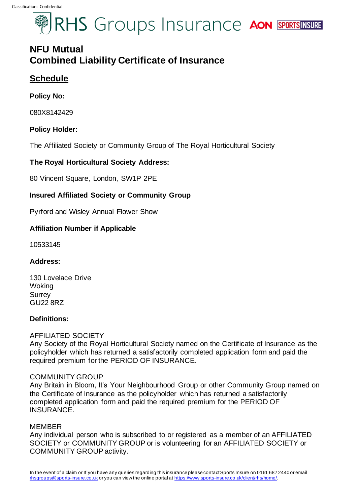# **SIRHS** Groups Insurance AON SPORTSINSURE

# **NFU Mutual Combined Liability Certificate of Insurance**

# **Schedule**

### **Policy No:**

080X8142429

## **Policy Holder:**

The Affiliated Society or Community Group of The Royal Horticultural Society

## **The Royal Horticultural Society Address:**

80 Vincent Square, London, SW1P 2PE

## **Insured Affiliated Society or Community Group**

Pyrford and Wisley Annual Flower Show

## **Affiliation Number if Applicable**

10533145

#### **Address:**

130 Lovelace Drive **Woking Surrey** GU22 8RZ

#### **Definitions:**

#### AFFILIATED SOCIETY

Any Society of the Royal Horticultural Society named on the Certificate of Insurance as the policyholder which has returned a satisfactorily completed application form and paid the required premium for the PERIOD OF INSURANCE.

#### COMMUNITY GROUP

Any Britain in Bloom, It's Your Neighbourhood Group or other Community Group named on the Certificate of Insurance as the policyholder which has returned a satisfactorily completed application form and paid the required premium for the PERIOD OF INSURANCE.

#### MEMBER

Any individual person who is subscribed to or registered as a member of an AFFILIATED SOCIETY or COMMUNITY GROUP or is volunteering for an AFFILIATED SOCIETY or COMMUNITY GROUP activity.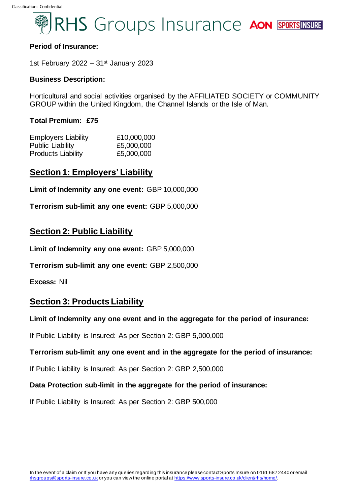

#### **Period of Insurance:**

1st February 2022 – 31st January 2023

#### **Business Description:**

Horticultural and social activities organised by the AFFILIATED SOCIETY or COMMUNITY GROUP within the United Kingdom, the Channel Islands or the Isle of Man.

#### **Total Premium: £75**

| <b>Employers Liability</b> | £10,000,000 |  |
|----------------------------|-------------|--|
| <b>Public Liability</b>    | £5,000,000  |  |
| <b>Products Liability</b>  | £5,000,000  |  |

# **Section 1: Employers' Liability**

**Limit of Indemnity any one event:** GBP 10,000,000

**Terrorism sub-limit any one event:** GBP 5,000,000

## **Section 2: Public Liability**

**Limit of Indemnity any one event:** GBP 5,000,000

**Terrorism sub-limit any one event:** GBP 2,500,000

**Excess:** Nil

# **Section 3: Products Liability**

**Limit of Indemnity any one event and in the aggregate for the period of insurance:**

If Public Liability is Insured: As per Section 2: GBP 5,000,000

#### **Terrorism sub-limit any one event and in the aggregate for the period of insurance:**

If Public Liability is Insured: As per Section 2: GBP 2,500,000

**Data Protection sub-limit in the aggregate for the period of insurance:**

If Public Liability is Insured: As per Section 2: GBP 500,000